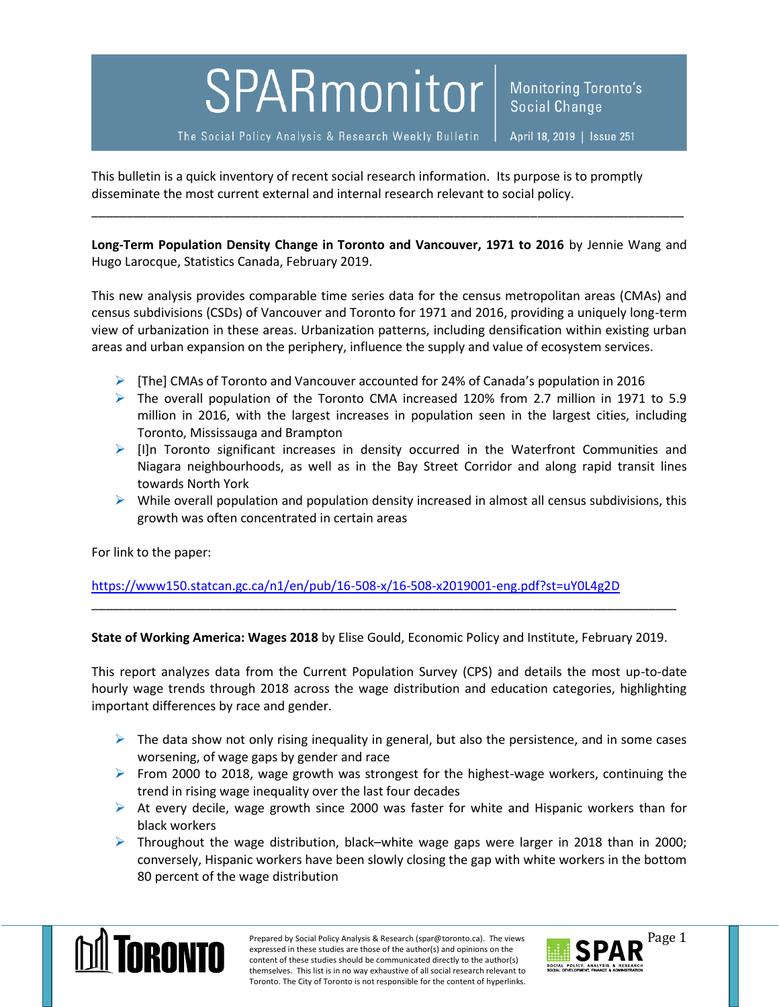## SPARmonitor

Monitoring Toronto's **Social Change** 

The Social Policy Analysis & Research Weekly Bulletin

April 18, 2019 | Issue 251

This bulletin is a quick inventory of recent social research information. Its purpose is to promptly disseminate the most current external and internal research relevant to social policy.

**Long-Term Population Density Change in Toronto and Vancouver, 1971 to 2016** by Jennie Wang and Hugo Larocque, Statistics Canada, February 2019.

\_\_\_\_\_\_\_\_\_\_\_\_\_\_\_\_\_\_\_\_\_\_\_\_\_\_\_\_\_\_\_\_\_\_\_\_\_\_\_\_\_\_\_\_\_\_\_\_\_\_\_\_\_\_\_\_\_\_\_\_\_\_\_\_\_\_\_\_\_\_\_\_\_\_\_\_\_\_\_\_\_\_\_\_\_

This new analysis provides comparable time series data for the census metropolitan areas (CMAs) and census subdivisions (CSDs) of Vancouver and Toronto for 1971 and 2016, providing a uniquely long-term view of urbanization in these areas. Urbanization patterns, including densification within existing urban areas and urban expansion on the periphery, influence the supply and value of ecosystem services.

- $\triangleright$  [The] CMAs of Toronto and Vancouver accounted for 24% of Canada's population in 2016
- $\triangleright$  The overall population of the Toronto CMA increased 120% from 2.7 million in 1971 to 5.9 million in 2016, with the largest increases in population seen in the largest cities, including Toronto, Mississauga and Brampton
- $\triangleright$  [I]n Toronto significant increases in density occurred in the Waterfront Communities and Niagara neighbourhoods, as well as in the Bay Street Corridor and along rapid transit lines towards North York
- $\triangleright$  While overall population and population density increased in almost all census subdivisions, this growth was often concentrated in certain areas

For link to the paper:

<https://www150.statcan.gc.ca/n1/en/pub/16-508-x/16-508-x2019001-eng.pdf?st=uY0L4g2D>

**State of Working America: Wages 2018** by Elise Gould, Economic Policy and Institute, February 2019.

\_\_\_\_\_\_\_\_\_\_\_\_\_\_\_\_\_\_\_\_\_\_\_\_\_\_\_\_\_\_\_\_\_\_\_\_\_\_\_\_\_\_\_\_\_\_\_\_\_\_\_\_\_\_\_\_\_\_\_\_\_\_\_\_\_\_\_\_\_\_\_\_\_\_\_\_\_\_\_\_\_\_\_\_

This report analyzes data from the Current Population Survey (CPS) and details the most up-to-date hourly wage trends through 2018 across the wage distribution and education categories, highlighting important differences by race and gender.

- $\triangleright$  The data show not only rising inequality in general, but also the persistence, and in some cases worsening, of wage gaps by gender and race
- From 2000 to 2018, wage growth was strongest for the highest-wage workers, continuing the trend in rising wage inequality over the last four decades
- $\triangleright$  At every decile, wage growth since 2000 was faster for white and Hispanic workers than for black workers
- $\triangleright$  Throughout the wage distribution, black–white wage gaps were larger in 2018 than in 2000; conversely, Hispanic workers have been slowly closing the gap with white workers in the bottom 80 percent of the wage distribution



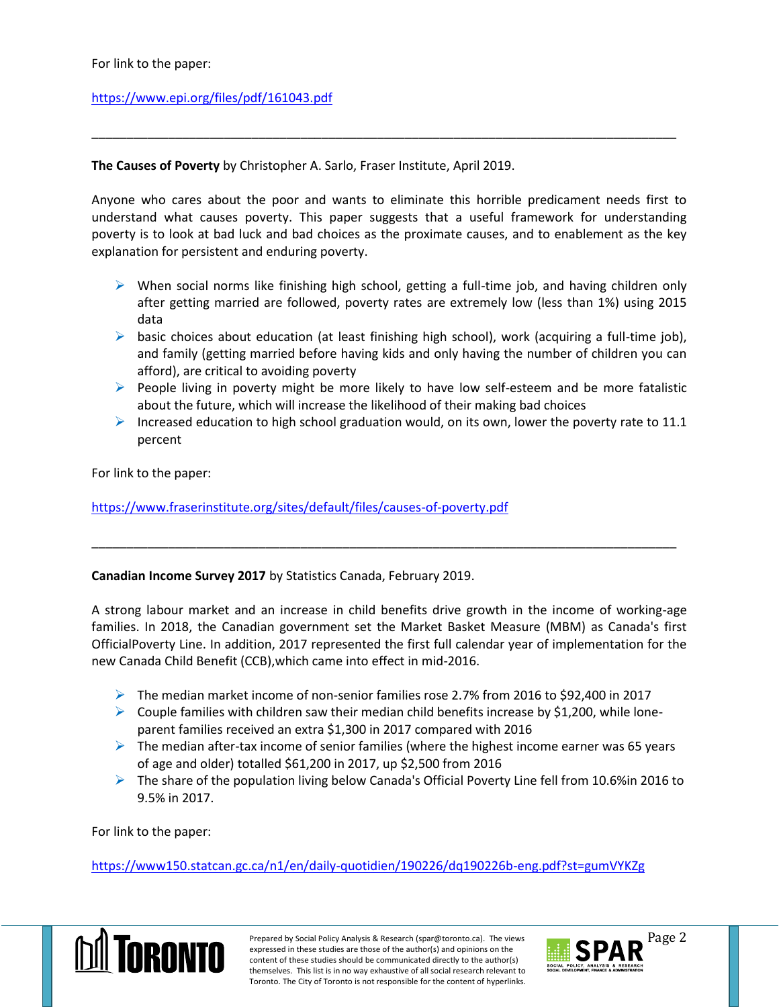## <https://www.epi.org/files/pdf/161043.pdf>

**The Causes of Poverty** by Christopher A. Sarlo, Fraser Institute, April 2019.

Anyone who cares about the poor and wants to eliminate this horrible predicament needs first to understand what causes poverty. This paper suggests that a useful framework for understanding poverty is to look at bad luck and bad choices as the proximate causes, and to enablement as the key explanation for persistent and enduring poverty.

\_\_\_\_\_\_\_\_\_\_\_\_\_\_\_\_\_\_\_\_\_\_\_\_\_\_\_\_\_\_\_\_\_\_\_\_\_\_\_\_\_\_\_\_\_\_\_\_\_\_\_\_\_\_\_\_\_\_\_\_\_\_\_\_\_\_\_\_\_\_\_\_\_\_\_\_\_\_\_\_\_\_\_\_

- $\triangleright$  When social norms like finishing high school, getting a full-time job, and having children only after getting married are followed, poverty rates are extremely low (less than 1%) using 2015 data
- $\triangleright$  basic choices about education (at least finishing high school), work (acquiring a full-time job), and family (getting married before having kids and only having the number of children you can afford), are critical to avoiding poverty
- $\triangleright$  People living in poverty might be more likely to have low self-esteem and be more fatalistic about the future, which will increase the likelihood of their making bad choices
- Increased education to high school graduation would, on its own, lower the poverty rate to 11.1 percent

For link to the paper:

<https://www.fraserinstitute.org/sites/default/files/causes-of-poverty.pdf>

## **Canadian Income Survey 2017** by Statistics Canada, February 2019.

A strong labour market and an increase in child benefits drive growth in the income of working-age families. In 2018, the Canadian government set the Market Basket Measure (MBM) as Canada's first OfficialPoverty Line. In addition, 2017 represented the first full calendar year of implementation for the new Canada Child Benefit (CCB),which came into effect in mid-2016.

\_\_\_\_\_\_\_\_\_\_\_\_\_\_\_\_\_\_\_\_\_\_\_\_\_\_\_\_\_\_\_\_\_\_\_\_\_\_\_\_\_\_\_\_\_\_\_\_\_\_\_\_\_\_\_\_\_\_\_\_\_\_\_\_\_\_\_\_\_\_\_\_\_\_\_\_\_\_\_\_\_\_\_\_

- $\triangleright$  The median market income of non-senior families rose 2.7% from 2016 to \$92,400 in 2017
- $\triangleright$  Couple families with children saw their median child benefits increase by \$1,200, while loneparent families received an extra \$1,300 in 2017 compared with 2016
- $\triangleright$  The median after-tax income of senior families (where the highest income earner was 65 years of age and older) totalled \$61,200 in 2017, up \$2,500 from 2016
- The share of the population living below Canada's Official Poverty Line fell from 10.6% in 2016 to 9.5% in 2017.

For link to the paper:

<https://www150.statcan.gc.ca/n1/en/daily-quotidien/190226/dq190226b-eng.pdf?st=gumVYKZg>